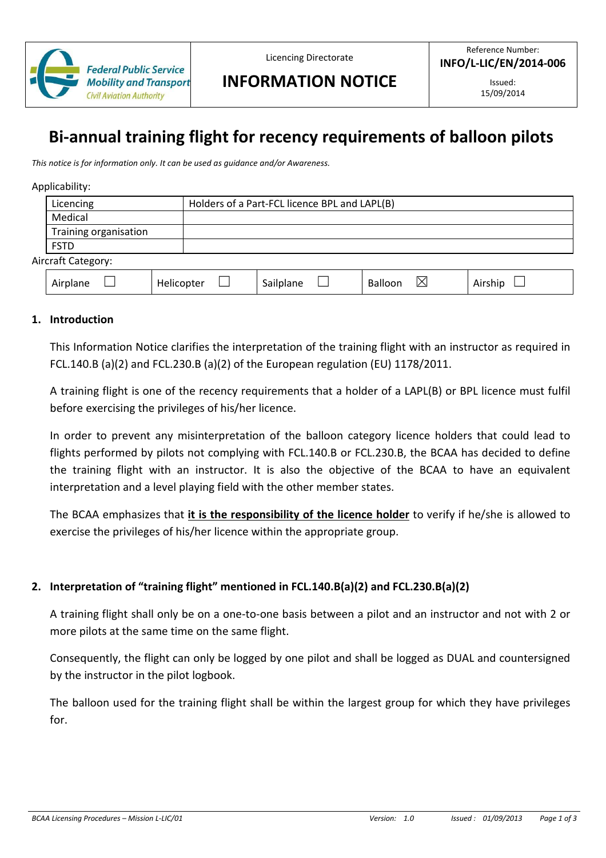

Licencing Directorate

# **INFORMATION NOTICE**

# **Bi-annual training flight for recency requirements of balloon pilots**

*This notice is for information only. It can be used as guidance and/or Awareness.* 

#### Applicability:

|                    | Licencing             |            |  | Holders of a Part-FCL licence BPL and LAPL(B) |         |   |         |
|--------------------|-----------------------|------------|--|-----------------------------------------------|---------|---|---------|
|                    | Medical               |            |  |                                               |         |   |         |
|                    | Training organisation |            |  |                                               |         |   |         |
|                    | <b>FSTD</b>           |            |  |                                               |         |   |         |
| Aircraft Category: |                       |            |  |                                               |         |   |         |
|                    | Airplane              | Helicopter |  | Sailplane                                     | Balloon | ⋉ | Airship |

#### **1. Introduction**

This Information Notice clarifies the interpretation of the training flight with an instructor as required in FCL.140.B (a)(2) and FCL.230.B (a)(2) of the European regulation (EU) 1178/2011.

A training flight is one of the recency requirements that a holder of a LAPL(B) or BPL licence must fulfil before exercising the privileges of his/her licence.

In order to prevent any misinterpretation of the balloon category licence holders that could lead to flights performed by pilots not complying with FCL.140.B or FCL.230.B, the BCAA has decided to define the training flight with an instructor. It is also the objective of the BCAA to have an equivalent interpretation and a level playing field with the other member states.

The BCAA emphasizes that **it is the responsibility of the licence holder** to verify if he/she is allowed to exercise the privileges of his/her licence within the appropriate group.

### **2. Interpretation of "training flight" mentioned in FCL.140.B(a)(2) and FCL.230.B(a)(2)**

A training flight shall only be on a one-to-one basis between a pilot and an instructor and not with 2 or more pilots at the same time on the same flight.

Consequently, the flight can only be logged by one pilot and shall be logged as DUAL and countersigned by the instructor in the pilot logbook.

The balloon used for the training flight shall be within the largest group for which they have privileges for.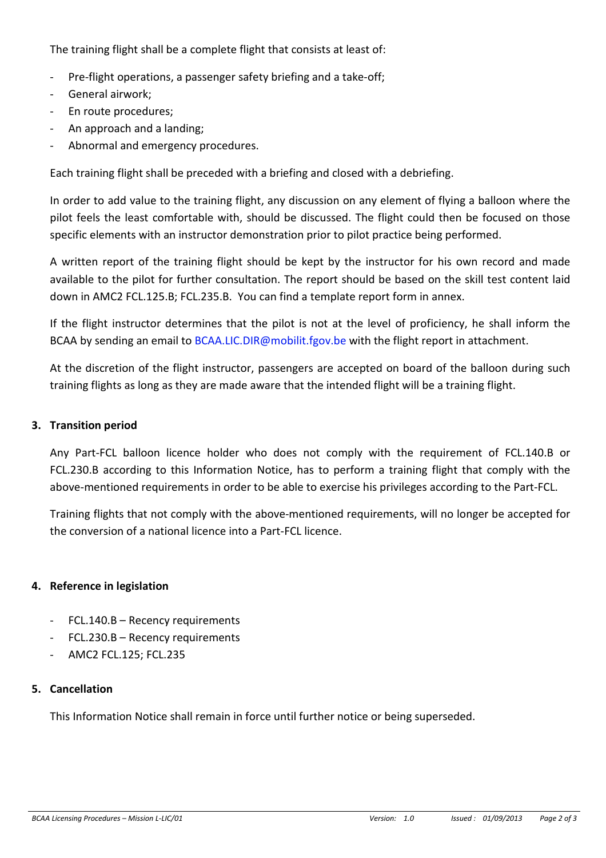The training flight shall be a complete flight that consists at least of:

- Pre-flight operations, a passenger safety briefing and a take-off;
- General airwork:
- En route procedures;
- An approach and a landing;
- Abnormal and emergency procedures.

Each training flight shall be preceded with a briefing and closed with a debriefing.

In order to add value to the training flight, any discussion on any element of flying a balloon where the pilot feels the least comfortable with, should be discussed. The flight could then be focused on those specific elements with an instructor demonstration prior to pilot practice being performed.

A written report of the training flight should be kept by the instructor for his own record and made available to the pilot for further consultation. The report should be based on the skill test content laid down in AMC2 FCL.125.B; FCL.235.B. You can find a template report form in annex.

If the flight instructor determines that the pilot is not at the level of proficiency, he shall inform the BCAA by sending an email to BCAA.LIC.DIR@mobilit.fgov.be with the flight report in attachment.

At the discretion of the flight instructor, passengers are accepted on board of the balloon during such training flights as long as they are made aware that the intended flight will be a training flight.

## **3. Transition period**

Any Part-FCL balloon licence holder who does not comply with the requirement of FCL.140.B or FCL.230.B according to this Information Notice, has to perform a training flight that comply with the above-mentioned requirements in order to be able to exercise his privileges according to the Part-FCL.

Training flights that not comply with the above-mentioned requirements, will no longer be accepted for the conversion of a national licence into a Part-FCL licence.

## **4. Reference in legislation**

- FCL.140.B Recency requirements
- FCL.230.B Recency requirements
- AMC2 FCL.125; FCL.235

## **5. Cancellation**

This Information Notice shall remain in force until further notice or being superseded.